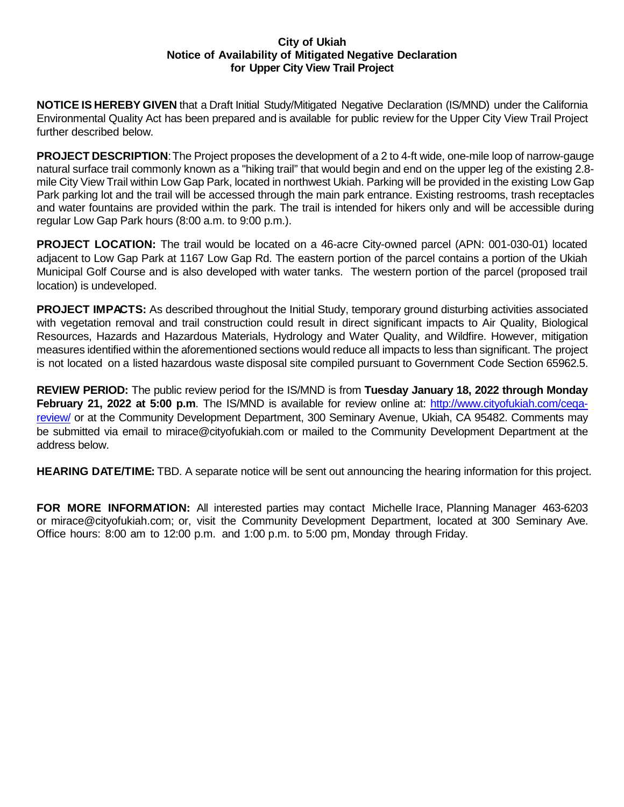## **City of Ukiah Notice of Availability of Mitigated Negative Declaration for Upper City View Trail Project**

**NOTICE IS HEREBY GIVEN** that a Draft Initial Study/Mitigated Negative Declaration (IS/MND) under the California Environmental Quality Act has been prepared and is available for public review for the Upper City View Trail Project further described below.

**PROJECT DESCRIPTION:** The Project proposes the development of a 2 to 4-ft wide, one-mile loop of narrow-gauge natural surface trail commonly known as a "hiking trail" that would begin and end on the upper leg of the existing 2.8 mile City View Trail within Low Gap Park, located in northwest Ukiah. Parking will be provided in the existing Low Gap Park parking lot and the trail will be accessed through the main park entrance. Existing restrooms, trash receptacles and water fountains are provided within the park. The trail is intended for hikers only and will be accessible during regular Low Gap Park hours (8:00 a.m. to 9:00 p.m.).

**PROJECT LOCATION:** The trail would be located on a 46-acre City-owned parcel (APN: 001-030-01) located adjacent to Low Gap Park at 1167 Low Gap Rd. The eastern portion of the parcel contains a portion of the Ukiah Municipal Golf Course and is also developed with water tanks. The western portion of the parcel (proposed trail location) is undeveloped.

**PROJECT IMPACTS:** As described throughout the Initial Study, temporary ground disturbing activities associated with vegetation removal and trail construction could result in direct significant impacts to Air Quality, Biological Resources, Hazards and Hazardous Materials, Hydrology and Water Quality, and Wildfire. However, mitigation measures identified within the aforementioned sections would reduce all impacts to less than significant. The project is not located on a listed hazardous waste disposal site compiled pursuant to Government Code Section 65962.5.

**REVIEW PERIOD:** The public review period for the IS/MND is from **Tuesday January 18, 2022 through Monday February 21, 2022 at 5:00 p.m**. The IS/MND is available for review online at: [http://www.cityofukiah.com/ceqa](http://www.cityofukiah.com/ceqa-review/)[review/](http://www.cityofukiah.com/ceqa-review/) or at the Community Development Department, 300 Seminary Avenue, Ukiah, CA 95482. Comments may be submitted via email to mirace@cityofukiah.com or mailed to the Community Development Department at the address below.

**HEARING DATE/TIME:** TBD. A separate notice will be sent out announcing the hearing information for this project.

**FOR MORE INFORMATION:** All interested parties may contact Michelle Irace, Planning Manager 463-6203 or mirace@cityofukiah.com; or, visit the Community Development Department, located at 300 Seminary Ave. Office hours: 8:00 am to 12:00 p.m. and 1:00 p.m. to 5:00 pm, Monday through Friday.